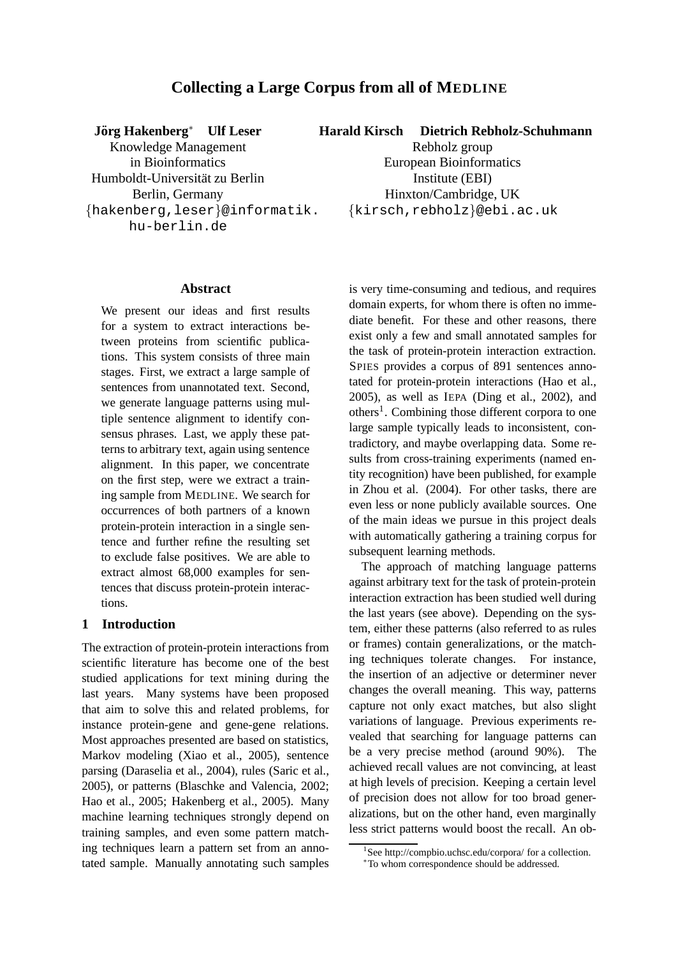# **Collecting a Large Corpus from all of MEDLINE**

*J***örg Hakenberg<sup>\*</sup> Ulf Leser** 

Knowledge Management in Bioinformatics Humboldt-Universität zu Berlin Berlin, Germany {hakenberg,leser}@informatik. hu-berlin.de

**Harald Kirsch Dietrich Rebholz-Schuhmann**

Rebholz group European Bioinformatics Institute (EBI) Hinxton/Cambridge, UK {kirsch,rebholz}@ebi.ac.uk

### **Abstract**

We present our ideas and first results for a system to extract interactions between proteins from scientific publications. This system consists of three main stages. First, we extract a large sample of sentences from unannotated text. Second, we generate language patterns using multiple sentence alignment to identify consensus phrases. Last, we apply these patterns to arbitrary text, again using sentence alignment. In this paper, we concentrate on the first step, were we extract a training sample from MEDLINE. We search for occurrences of both partners of a known protein-protein interaction in a single sentence and further refine the resulting set to exclude false positives. We are able to extract almost 68,000 examples for sentences that discuss protein-protein interactions.

### **1 Introduction**

The extraction of protein-protein interactions from scientific literature has become one of the best studied applications for text mining during the last years. Many systems have been proposed that aim to solve this and related problems, for instance protein-gene and gene-gene relations. Most approaches presented are based on statistics, Markov modeling (Xiao et al., 2005), sentence parsing (Daraselia et al., 2004), rules (Saric et al., 2005), or patterns (Blaschke and Valencia, 2002; Hao et al., 2005; Hakenberg et al., 2005). Many machine learning techniques strongly depend on training samples, and even some pattern matching techniques learn a pattern set from an annotated sample. Manually annotating such samples is very time-consuming and tedious, and requires domain experts, for whom there is often no immediate benefit. For these and other reasons, there exist only a few and small annotated samples for the task of protein-protein interaction extraction. SPIES provides a corpus of 891 sentences annotated for protein-protein interactions (Hao et al., 2005), as well as IEPA (Ding et al., 2002), and others<sup>1</sup>. Combining those different corpora to one large sample typically leads to inconsistent, contradictory, and maybe overlapping data. Some results from cross-training experiments (named entity recognition) have been published, for example in Zhou et al. (2004). For other tasks, there are even less or none publicly available sources. One of the main ideas we pursue in this project deals with automatically gathering a training corpus for subsequent learning methods.

The approach of matching language patterns against arbitrary text for the task of protein-protein interaction extraction has been studied well during the last years (see above). Depending on the system, either these patterns (also referred to as rules or frames) contain generalizations, or the matching techniques tolerate changes. For instance, the insertion of an adjective or determiner never changes the overall meaning. This way, patterns capture not only exact matches, but also slight variations of language. Previous experiments revealed that searching for language patterns can be a very precise method (around 90%). The achieved recall values are not convincing, at least at high levels of precision. Keeping a certain level of precision does not allow for too broad generalizations, but on the other hand, even marginally less strict patterns would boost the recall. An ob-

<sup>&</sup>lt;sup>1</sup>See http://compbio.uchsc.edu/corpora/ for a collection.

<sup>∗</sup>To whom correspondence should be addressed.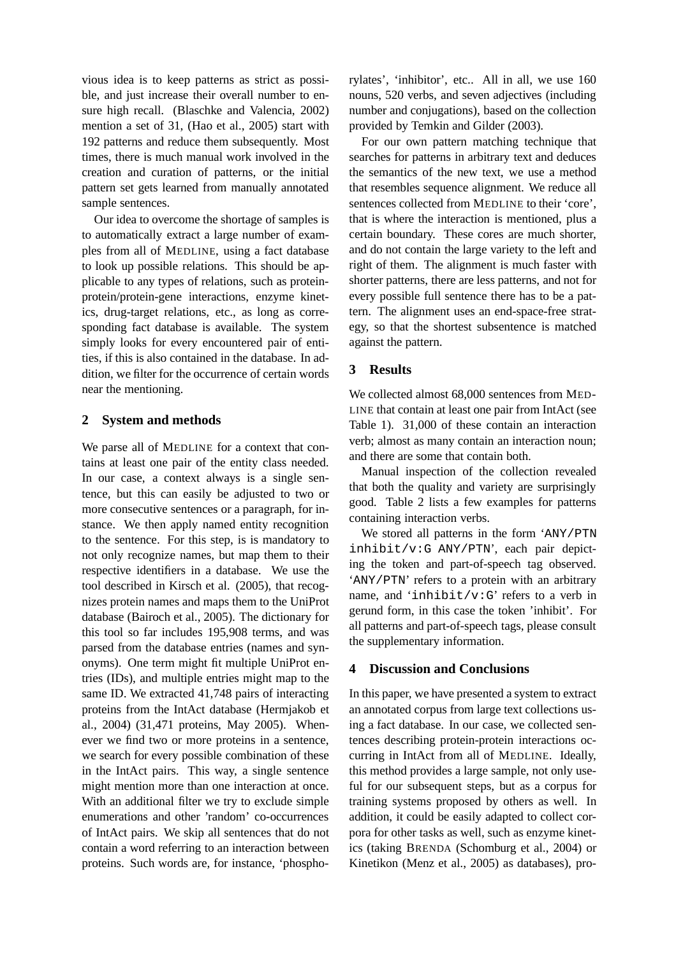vious idea is to keep patterns as strict as possible, and just increase their overall number to ensure high recall. (Blaschke and Valencia, 2002) mention a set of 31, (Hao et al., 2005) start with 192 patterns and reduce them subsequently. Most times, there is much manual work involved in the creation and curation of patterns, or the initial pattern set gets learned from manually annotated sample sentences.

Our idea to overcome the shortage of samples is to automatically extract a large number of examples from all of MEDLINE, using a fact database to look up possible relations. This should be applicable to any types of relations, such as proteinprotein/protein-gene interactions, enzyme kinetics, drug-target relations, etc., as long as corresponding fact database is available. The system simply looks for every encountered pair of entities, if this is also contained in the database. In addition, we filter for the occurrence of certain words near the mentioning.

## **2 System and methods**

We parse all of MEDLINE for a context that contains at least one pair of the entity class needed. In our case, a context always is a single sentence, but this can easily be adjusted to two or more consecutive sentences or a paragraph, for instance. We then apply named entity recognition to the sentence. For this step, is is mandatory to not only recognize names, but map them to their respective identifiers in a database. We use the tool described in Kirsch et al. (2005), that recognizes protein names and maps them to the UniProt database (Bairoch et al., 2005). The dictionary for this tool so far includes 195,908 terms, and was parsed from the database entries (names and synonyms). One term might fit multiple UniProt entries (IDs), and multiple entries might map to the same ID. We extracted 41,748 pairs of interacting proteins from the IntAct database (Hermjakob et al., 2004) (31,471 proteins, May 2005). Whenever we find two or more proteins in a sentence, we search for every possible combination of these in the IntAct pairs. This way, a single sentence might mention more than one interaction at once. With an additional filter we try to exclude simple enumerations and other 'random' co-occurrences of IntAct pairs. We skip all sentences that do not contain a word referring to an interaction between proteins. Such words are, for instance, 'phosphorylates', 'inhibitor', etc.. All in all, we use 160 nouns, 520 verbs, and seven adjectives (including number and conjugations), based on the collection provided by Temkin and Gilder (2003).

For our own pattern matching technique that searches for patterns in arbitrary text and deduces the semantics of the new text, we use a method that resembles sequence alignment. We reduce all sentences collected from MEDLINE to their 'core', that is where the interaction is mentioned, plus a certain boundary. These cores are much shorter, and do not contain the large variety to the left and right of them. The alignment is much faster with shorter patterns, there are less patterns, and not for every possible full sentence there has to be a pattern. The alignment uses an end-space-free strategy, so that the shortest subsentence is matched against the pattern.

## **3 Results**

We collected almost 68,000 sentences from MED-LINE that contain at least one pair from IntAct (see Table 1). 31,000 of these contain an interaction verb; almost as many contain an interaction noun; and there are some that contain both.

Manual inspection of the collection revealed that both the quality and variety are surprisingly good. Table 2 lists a few examples for patterns containing interaction verbs.

We stored all patterns in the form 'ANY/PTN inhibit/v:G ANY/PTN', each pair depicting the token and part-of-speech tag observed. 'ANY/PTN' refers to a protein with an arbitrary name, and 'inhibit/v:G' refers to a verb in gerund form, in this case the token 'inhibit'. For all patterns and part-of-speech tags, please consult the supplementary information.

### **4 Discussion and Conclusions**

In this paper, we have presented a system to extract an annotated corpus from large text collections using a fact database. In our case, we collected sentences describing protein-protein interactions occurring in IntAct from all of MEDLINE. Ideally, this method provides a large sample, not only useful for our subsequent steps, but as a corpus for training systems proposed by others as well. In addition, it could be easily adapted to collect corpora for other tasks as well, such as enzyme kinetics (taking BRENDA (Schomburg et al., 2004) or Kinetikon (Menz et al., 2005) as databases), pro-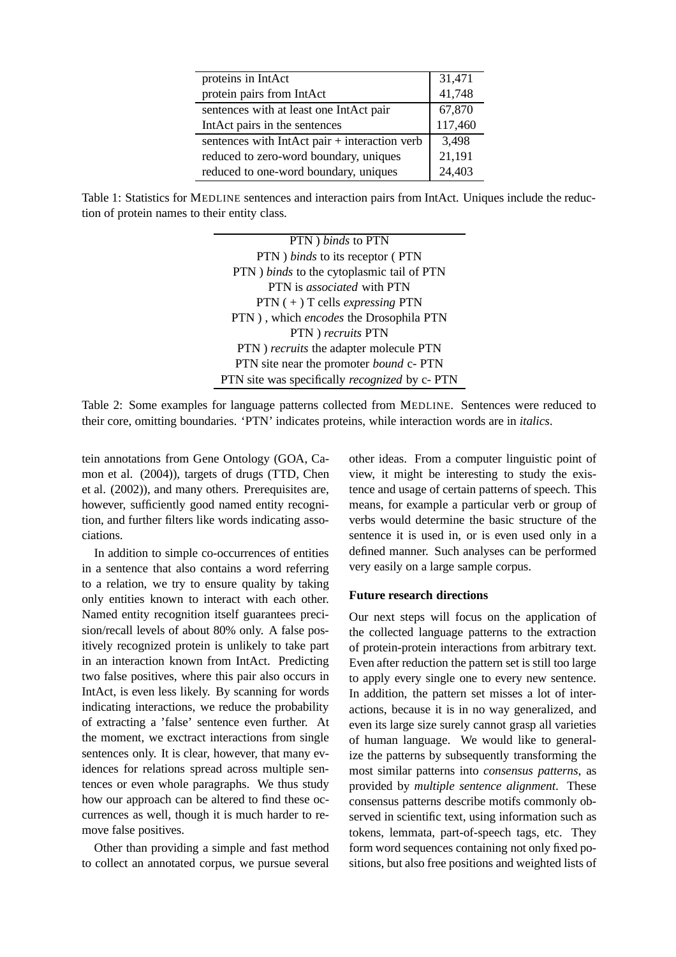| proteins in IntAct                            | 31,471  |
|-----------------------------------------------|---------|
| protein pairs from IntAct                     | 41,748  |
| sentences with at least one IntAct pair       | 67,870  |
| IntAct pairs in the sentences                 | 117,460 |
| sentences with IntAct pair + interaction verb | 3,498   |
| reduced to zero-word boundary, uniques        | 21,191  |
| reduced to one-word boundary, uniques         | 24,403  |

Table 1: Statistics for MEDLINE sentences and interaction pairs from IntAct. Uniques include the reduction of protein names to their entity class.

PTN ) *binds* to PTN PTN ) *binds* to its receptor ( PTN PTN ) *binds* to the cytoplasmic tail of PTN PTN is *associated* with PTN PTN ( + ) T cells *expressing* PTN PTN ) , which *encodes* the Drosophila PTN PTN ) *recruits* PTN PTN ) *recruits* the adapter molecule PTN PTN site near the promoter *bound* c- PTN PTN site was specifically *recognized* by c- PTN

Table 2: Some examples for language patterns collected from MEDLINE. Sentences were reduced to their core, omitting boundaries. 'PTN' indicates proteins, while interaction words are in *italics*.

tein annotations from Gene Ontology (GOA, Camon et al. (2004)), targets of drugs (TTD, Chen et al. (2002)), and many others. Prerequisites are, however, sufficiently good named entity recognition, and further filters like words indicating associations.

In addition to simple co-occurrences of entities in a sentence that also contains a word referring to a relation, we try to ensure quality by taking only entities known to interact with each other. Named entity recognition itself guarantees precision/recall levels of about 80% only. A false positively recognized protein is unlikely to take part in an interaction known from IntAct. Predicting two false positives, where this pair also occurs in IntAct, is even less likely. By scanning for words indicating interactions, we reduce the probability of extracting a 'false' sentence even further. At the moment, we exctract interactions from single sentences only. It is clear, however, that many evidences for relations spread across multiple sentences or even whole paragraphs. We thus study how our approach can be altered to find these occurrences as well, though it is much harder to remove false positives.

Other than providing a simple and fast method to collect an annotated corpus, we pursue several

other ideas. From a computer linguistic point of view, it might be interesting to study the existence and usage of certain patterns of speech. This means, for example a particular verb or group of verbs would determine the basic structure of the sentence it is used in, or is even used only in a defined manner. Such analyses can be performed very easily on a large sample corpus.

### **Future research directions**

Our next steps will focus on the application of the collected language patterns to the extraction of protein-protein interactions from arbitrary text. Even after reduction the pattern set is still too large to apply every single one to every new sentence. In addition, the pattern set misses a lot of interactions, because it is in no way generalized, and even its large size surely cannot grasp all varieties of human language. We would like to generalize the patterns by subsequently transforming the most similar patterns into *consensus patterns*, as provided by *multiple sentence alignment*. These consensus patterns describe motifs commonly observed in scientific text, using information such as tokens, lemmata, part-of-speech tags, etc. They form word sequences containing not only fixed positions, but also free positions and weighted lists of